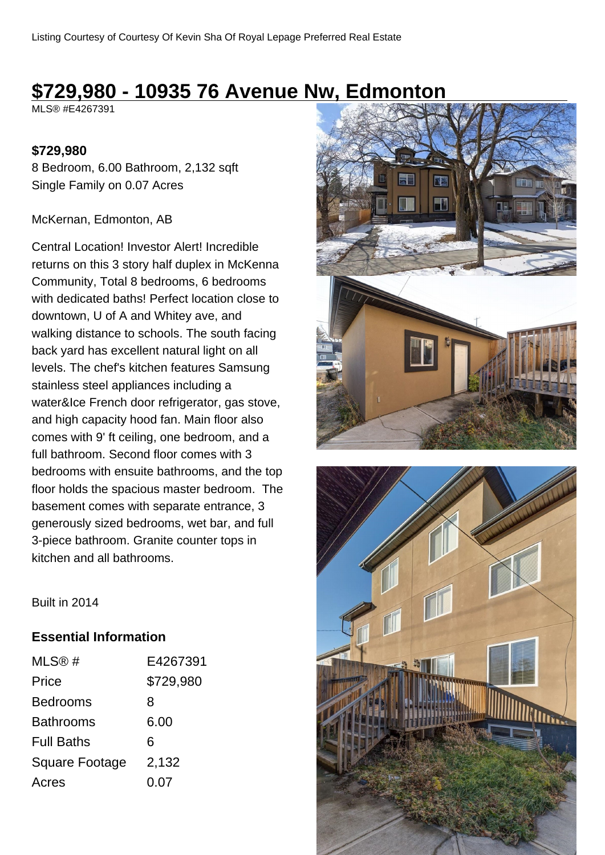# **\$729,980 - 10935 76 Avenue Nw, Edmonton**

MLS® #E4267391

#### **\$729,980**

8 Bedroom, 6.00 Bathroom, 2,132 sqft Single Family on 0.07 Acres

#### McKernan, Edmonton, AB

Central Location! Investor Alert! Incredible returns on this 3 story half duplex in McKenna Community, Total 8 bedrooms, 6 bedrooms with dedicated baths! Perfect location close to downtown, U of A and Whitey ave, and walking distance to schools. The south facing back yard has excellent natural light on all levels. The chef's kitchen features Samsung stainless steel appliances including a water&Ice French door refrigerator, gas stove, and high capacity hood fan. Main floor also comes with 9' ft ceiling, one bedroom, and a full bathroom. Second floor comes with 3 bedrooms with ensuite bathrooms, and the top floor holds the spacious master bedroom. The basement comes with separate entrance, 3 generously sized bedrooms, wet bar, and full 3-piece bathroom. Granite counter tops in kitchen and all bathrooms.





Built in 2014

### **Essential Information**

| MLS@#                 | E4267391  |
|-----------------------|-----------|
| Price                 | \$729,980 |
| <b>Bedrooms</b>       | 8         |
| <b>Bathrooms</b>      | 6.00      |
| <b>Full Baths</b>     | 6         |
| <b>Square Footage</b> | 2,132     |
| Acres                 | 0.07      |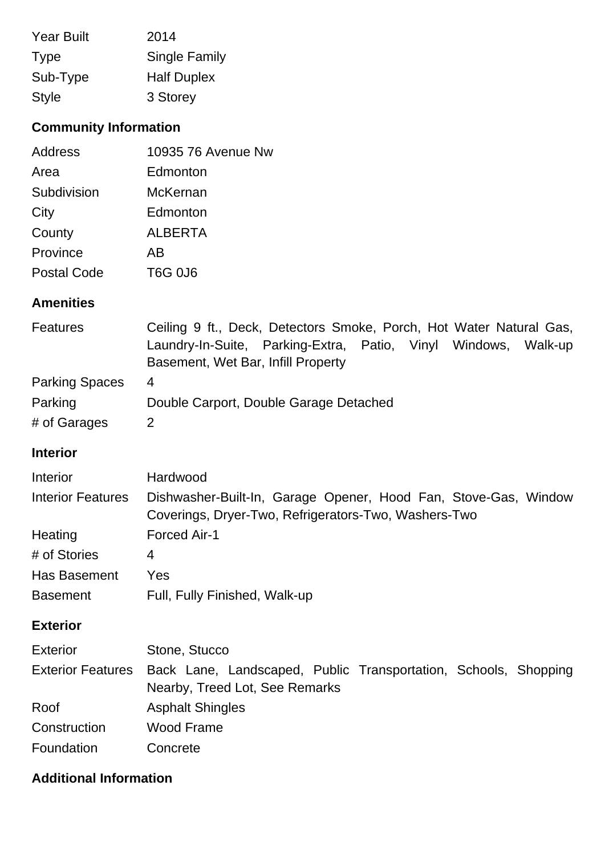| <b>Year Built</b> | 2014               |
|-------------------|--------------------|
| <b>Type</b>       | Single Family      |
| Sub-Type          | <b>Half Duplex</b> |
| <b>Style</b>      | 3 Storey           |

# **Community Information**

| Address            | 10935 76 Avenue Nw |
|--------------------|--------------------|
| Area               | Edmonton           |
| Subdivision        | <b>McKernan</b>    |
| City               | Edmonton           |
| County             | <b>ALBERTA</b>     |
| Province           | AB                 |
| <b>Postal Code</b> | T6G 0J6            |

### **Amenities**

| <b>Features</b>       | Ceiling 9 ft., Deck, Detectors Smoke, Porch, Hot Water Natural Gas, |
|-----------------------|---------------------------------------------------------------------|
|                       | Laundry-In-Suite, Parking-Extra, Patio, Vinyl Windows,<br>Walk-up   |
|                       | Basement, Wet Bar, Infill Property                                  |
| <b>Parking Spaces</b> | 4                                                                   |
| Parking               | Double Carport, Double Garage Detached                              |
| # of Garages          | 2                                                                   |

## **Interior**

| <b>Interior</b>          | Hardwood                                                                                                                |
|--------------------------|-------------------------------------------------------------------------------------------------------------------------|
| <b>Interior Features</b> | Dishwasher-Built-In, Garage Opener, Hood Fan, Stove-Gas, Window<br>Coverings, Dryer-Two, Refrigerators-Two, Washers-Two |
| Heating                  | <b>Forced Air-1</b>                                                                                                     |
| # of Stories             | 4                                                                                                                       |
| Has Basement             | Yes                                                                                                                     |
| <b>Basement</b>          | Full, Fully Finished, Walk-up                                                                                           |

### **Exterior**

| <b>Exterior</b> | Stone, Stucco                                                                                                       |
|-----------------|---------------------------------------------------------------------------------------------------------------------|
|                 | Exterior Features Back Lane, Landscaped, Public Transportation, Schools, Shopping<br>Nearby, Treed Lot, See Remarks |
| Roof            | <b>Asphalt Shingles</b>                                                                                             |
| Construction    | Wood Frame                                                                                                          |
| Foundation      | Concrete                                                                                                            |

# **Additional Information**